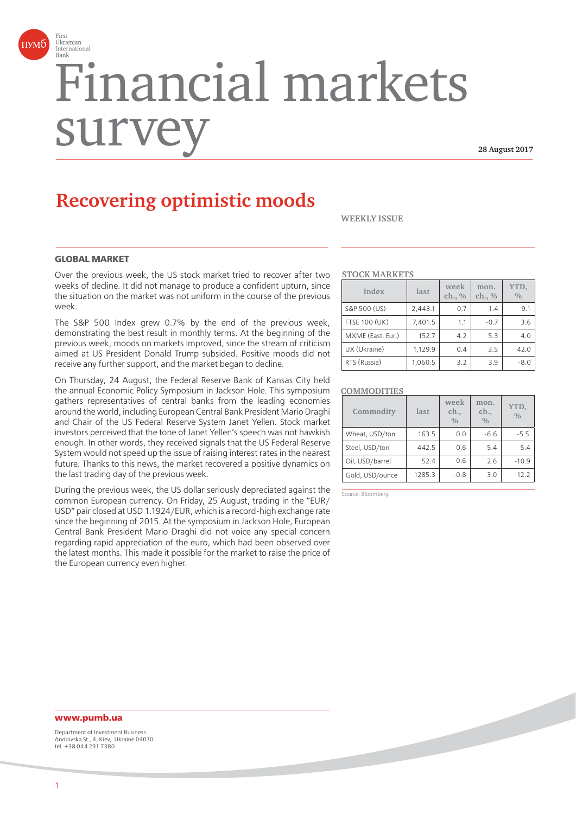

# Financial markets surv

 **28 August 2017**

# **Recovering optimistic moods**

**WEEKLY ISSUE**

# **GLOBAL MARKET**

Over the previous week, the US stock market tried to recover after two weeks of decline. It did not manage to produce a confident upturn, since the situation on the market was not uniform in the course of the previous week.

The S&P 500 Index grew 0.7% by the end of the previous week, demonstrating the best result in monthly terms. At the beginning of the previous week, moods on markets improved, since the stream of criticism aimed at US President Donald Trump subsided. Positive moods did not receive any further support, and the market began to decline.

On Thursday, 24 August, the Federal Reserve Bank of Kansas City held the annual Economic Policy Symposium in Jackson Hole. This symposium gathers representatives of central banks from the leading economies around the world, including European Central Bank President Mario Draghi and Chair of the US Federal Reserve System Janet Yellen. Stock market investors perceived that the tone of Janet Yellen's speech was not hawkish enough. In other words, they received signals that the US Federal Reserve System would not speed up the issue of raising interest rates in the nearest future. Thanks to this news, the market recovered a positive dynamics on the last trading day of the previous week.

During the previous week, the US dollar seriously depreciated against the common European currency. On Friday, 25 August, trading in the "EUR/ USD" pair closed at USD 1.1924/EUR, which is a record-high exchange rate since the beginning of 2015. At the symposium in Jackson Hole, European Central Bank President Mario Draghi did not voice any special concern regarding rapid appreciation of the euro, which had been observed over the latest months. This made it possible for the market to raise the price of the European currency even higher.

#### **STOCK MARKETS**

| Index                | last    | week<br>ch., % | mon.<br>ch., % | YTD,<br>$\frac{0}{0}$ |
|----------------------|---------|----------------|----------------|-----------------------|
| S&P 500 (US)         | 2,443.1 | 0.7            | $-1.4$         | 9.1                   |
| <b>FTSE 100 (UK)</b> | 7,401.5 | 1.1            | $-0.7$         | 3.6                   |
| MXME (East. Eur.)    | 152.7   | 4.2            | 5.3            | 4.0                   |
| UX (Ukraine)         | 1,129.9 | 0.4            | 3.5            | 42.0                  |
| RTS (Russia)         | 1,060.5 | 3.2            | 3.9            | $-8.0$                |

#### **COMMODITIES**

| Commodity       | last   | week<br>ch.,<br>0/0 | mon.<br>ch.,<br>0/0 | YTD,<br>$\frac{0}{0}$ |
|-----------------|--------|---------------------|---------------------|-----------------------|
| Wheat, USD/ton  | 163.5  | 0.0                 | $-6.6$              | $-5.5$                |
| Steel, USD/ton  | 442.5  | 0.6                 | 5.4                 | 5.4                   |
| Oil, USD/barrel | 52.4   | $-0.6$              | 2.6                 | $-10.9$               |
| Gold, USD/ounce | 1285.3 | $-0.8$              | 3.0                 | 12.2                  |

Source: Bloomberg

# **www.pumb.ua**

Department of Investment Business Andriivska St., 4, Kiev, Ukraine 04070 tel. +38 044 231 7380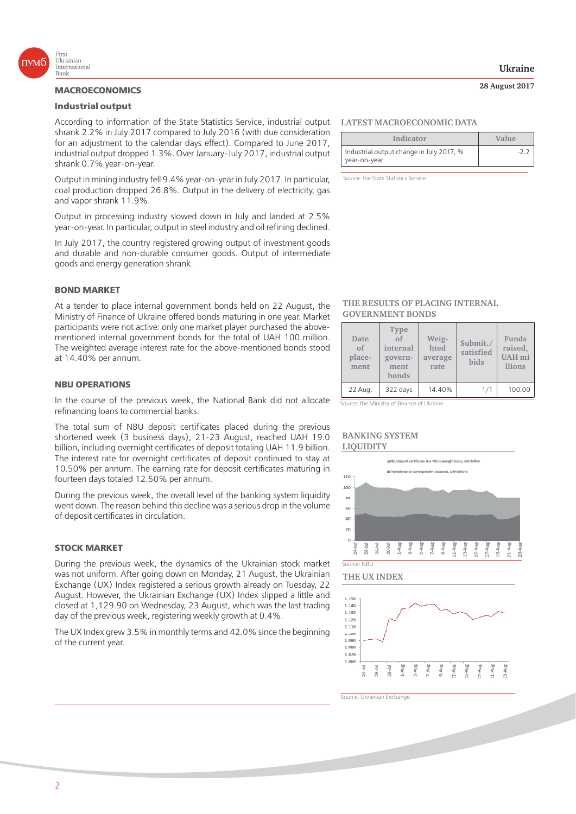

#### **MACROECONOMICS**

#### **Industrial output**

According to information of the State Statistics Service, industrial output shrank 2.2% in July 2017 compared to July 2016 (with due consideration for an adjustment to the calendar days effect). Compared to June 2017, industrial output dropped 1.3%. Over January-July 2017, industrial output shrank 0.7% year-on-year.

Output in mining industry fell 9.4% year-on-year in July 2017. In particular, coal production dropped 26.8%. Output in the delivery of electricity, gas and vapor shrank 11.9%.

Output in processing industry slowed down in July and landed at 2.5% year-on-year. In particular, output in steel industry and oil refining declined.

In July 2017, the country registered growing output of investment goods and durable and non-durable consumer goods. Output of intermediate goods and energy generation shrank.

#### **BOND MARKET**

At a tender to place internal government bonds held on 22 August, the Ministry of Finance of Ukraine offered bonds maturing in one year. Market participants were not active: only one market player purchased the abovementioned internal government bonds for the total of UAH 100 million. The weighted average interest rate for the above-mentioned bonds stood at 14.40% per annum.

#### **NBU OPERATIONS**

In the course of the previous week, the National Bank did not allocate refinancing loans to commercial banks.

The total sum of NBU deposit certificates placed during the previous shortened week (3 business days), 21-23 August, reached UAH 19.0 billion, including overnight certificates of deposit totaling UAH 11.9 billion. The interest rate for overnight certificates of deposit continued to stay at 10.50% per annum. The earning rate for deposit certificates maturing in fourteen days totaled 12.50% per annum.

During the previous week, the overall level of the banking system liquidity went down. The reason behind this decline was a serious drop in the volume of deposit certificates in circulation.

#### **STOCK MARKET**

During the previous week, the dynamics of the Ukrainian stock market was not uniform. After going down on Monday, 21 August, the Ukrainian Exchange (UX) Index registered a serious growth already on Tuesday, 22 August. However, the Ukrainian Exchange (UX) Index slipped a little and closed at 1,129.90 on Wednesday, 23 August, which was the last trading day of the previous week, registering weekly growth at 0.4%.

The UX Index grew 3.5% in monthly terms and 42.0% since the beginning of the current year.

#### **LATEST MACROECONOMIC DATA**

| Indicator                                                | Value |  |
|----------------------------------------------------------|-------|--|
| Industrial output change in July 2017, %<br>year-on-year |       |  |

Source: the State Statistics Service

#### **THE RESULTS OF PLACING INTERNAL GOVERNMENT BONDS**

| Date<br>$\alpha$ f<br>place-<br>ment | Type<br>$\alpha$ f<br>internal<br>govern-<br>ment<br>bonds | Weig-<br>hted<br>average<br>rate | Submit./<br>satisfied<br><b>bids</b> | Funds<br>raised,<br><b>UAH</b> mi<br><i>llions</i> |
|--------------------------------------|------------------------------------------------------------|----------------------------------|--------------------------------------|----------------------------------------------------|
| 22 Aug.                              | 322 days                                                   | 14.40%                           | 1/1                                  | 100.00                                             |

Source: the Ministry of Finance of Ukraine

#### **BANKING SYSTEM LIQUIDITY**



#### **THE UX INDEX**



Source: Ukrainian Exchange

#### **Ukraine**

 **28 August 2017**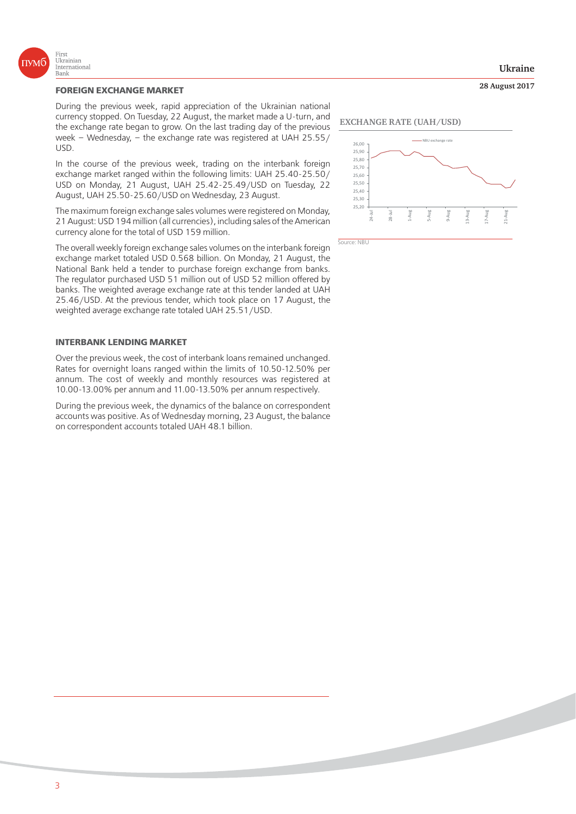

#### **FOREIGN EXCHANGE MARKET**

During the previous week, rapid appreciation of the Ukrainian national currency stopped. On Tuesday, 22 August, the market made a U-turn, and the exchange rate began to grow. On the last trading day of the previous week – Wednesday, – the exchange rate was registered at UAH 25.55/ USD.

In the course of the previous week, trading on the interbank foreign exchange market ranged within the following limits: UAH 25.40-25.50/ USD on Monday, 21 August, UAH 25.42-25.49/USD on Tuesday, 22 August, UAH 25.50-25.60/USD on Wednesday, 23 August.

The maximum foreign exchange sales volumes were registered on Monday, 21 August: USD 194 million (all currencies), including sales of the American currency alone for the total of USD 159 million.

The overall weekly foreign exchange sales volumes on the interbank foreign exchange market totaled USD 0.568 billion. On Monday, 21 August, the National Bank held a tender to purchase foreign exchange from banks. The regulator purchased USD 51 million out of USD 52 million offered by banks. The weighted average exchange rate at this tender landed at UAH 25.46/USD. At the previous tender, which took place on 17 August, the weighted average exchange rate totaled UAH 25.51/USD.

#### **INTERBANK LENDING MARKET**

Over the previous week, the cost of interbank loans remained unchanged. Rates for overnight loans ranged within the limits of 10.50-12.50% per annum. The cost of weekly and monthly resources was registered at 10.00-13.00% per annum and 11.00-13.50% per annum respectively.

During the previous week, the dynamics of the balance on correspondent accounts was positive. As of Wednesday morning, 23 August, the balance on correspondent accounts totaled UAH 48.1 billion.

# **EXCHANGE RATE (UAH/USD)**



Source: NBU

3

# **Ukraine**

 **28 August 2017**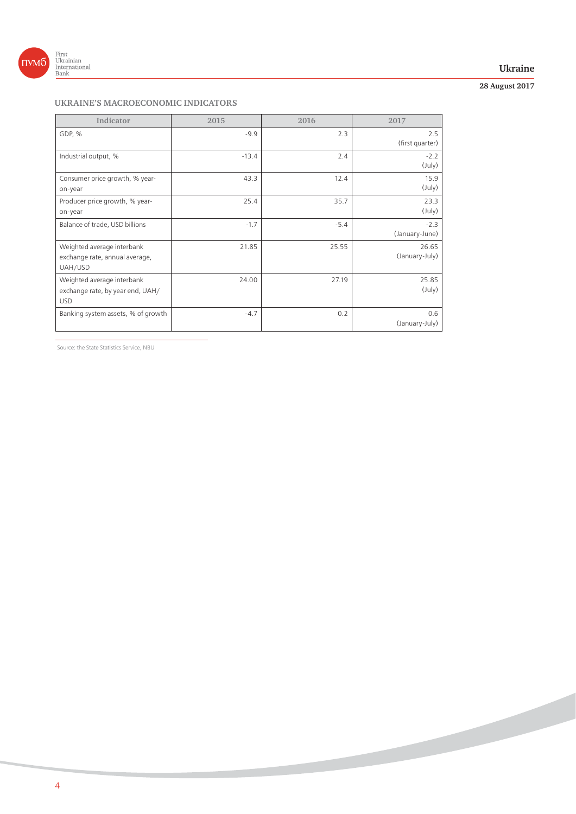

# **Ukraine**

# **28 August 2017**

# **UKRAINE'S MACROECONOMIC INDICATORS**

| Indicator                                                                    | 2015    | 2016   | 2017                      |
|------------------------------------------------------------------------------|---------|--------|---------------------------|
| GDP, %                                                                       | $-9.9$  | 2.3    | 2.5<br>(first quarter)    |
| Industrial output, %                                                         | $-13.4$ | 2.4    | $-2.2$<br>$(\text{July})$ |
| Consumer price growth, % year-<br>on-year                                    | 43.3    | 12.4   | 15.9<br>$(\text{July})$   |
| Producer price growth, % year-<br>on-year                                    | 25.4    | 35.7   | 23.3<br>$(\text{July})$   |
| Balance of trade, USD billions                                               | $-1.7$  | $-5.4$ | $-2.3$<br>(January-June)  |
| Weighted average interbank<br>exchange rate, annual average,<br>UAH/USD      | 21.85   | 25.55  | 26.65<br>(January-July)   |
| Weighted average interbank<br>exchange rate, by year end, UAH/<br><b>USD</b> | 24.00   | 27.19  | 25.85<br>$(\text{July})$  |
| Banking system assets, % of growth                                           | $-4.7$  | 0.2    | 0.6<br>(January-July)     |

Source: the State Statistics Service, NBU